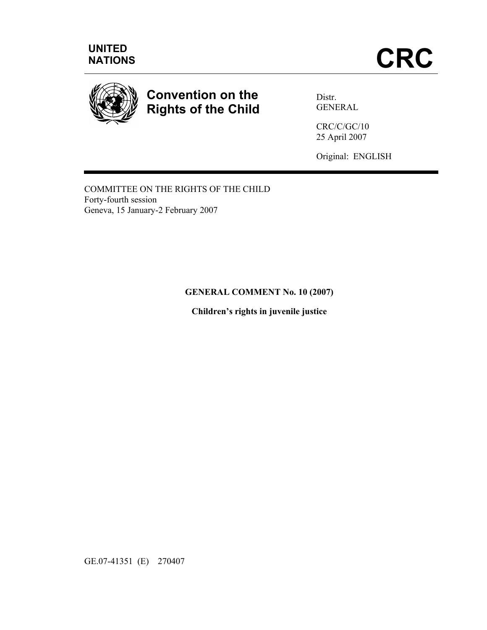



# **Convention on the Rights of the Child**

Distr. GENERAL

CRC/C/GC/10 25 April 2007

Original: ENGLISH

COMMITTEE ON THE RIGHTS OF THE CHILD Forty-fourth session Geneva, 15 January-2 February 2007

#### **GENERAL COMMENT No. 10 (2007)**

**Children's rights in juvenile justice** 

GE.07-41351 (E) 270407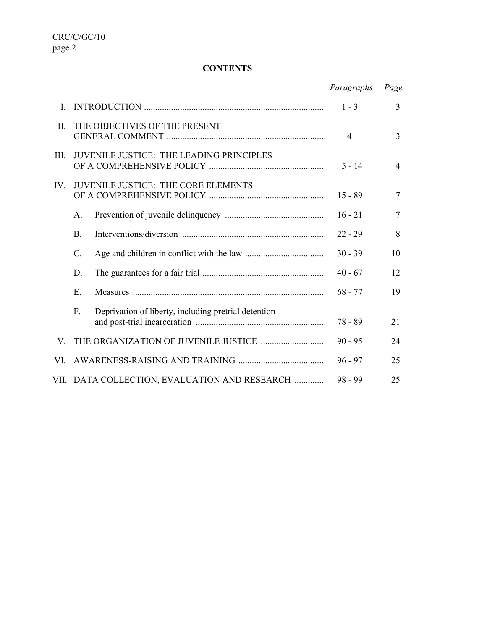# **CONTENTS**

|              |                                                                     | Paragraphs     | Page           |
|--------------|---------------------------------------------------------------------|----------------|----------------|
| $\mathbf{I}$ |                                                                     | $1 - 3$        | 3              |
| П.           | THE OBJECTIVES OF THE PRESENT                                       | $\overline{4}$ | 3              |
| III.         | <b>JUVENILE JUSTICE: THE LEADING PRINCIPLES</b>                     | $5 - 14$       | $\overline{4}$ |
| IV           | <b>JUVENILE JUSTICE: THE CORE ELEMENTS</b>                          | $15 - 89$      | 7              |
|              | $\mathsf{A}$ .                                                      | $16 - 21$      | 7              |
|              | <b>B.</b>                                                           | $22 - 29$      | 8              |
|              | C.                                                                  | $30 - 39$      | 10             |
|              | D.                                                                  | $40 - 67$      | 12             |
|              | $E_{\parallel}$                                                     | $68 - 77$      | 19             |
|              | $F_{\cdot}$<br>Deprivation of liberty, including pretrial detention | $78 - 89$      | 21             |
| V.           |                                                                     | $90 - 95$      | 24             |
| VI           |                                                                     | $96 - 97$      | 25             |
|              | VII. DATA COLLECTION, EVALUATION AND RESEARCH                       | $98 - 99$      | 25             |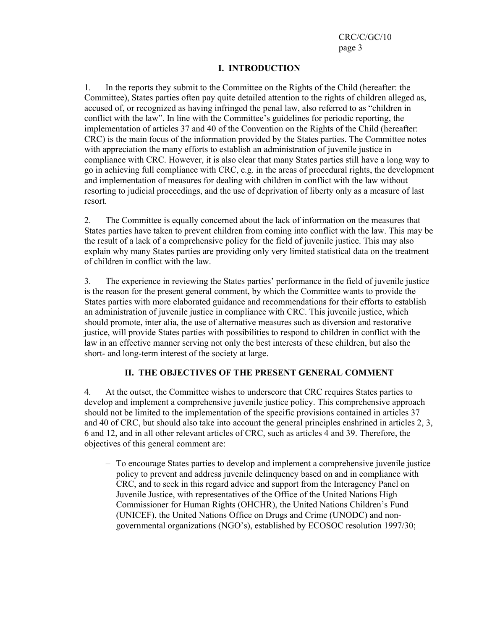#### **I. INTRODUCTION**

1. In the reports they submit to the Committee on the Rights of the Child (hereafter: the Committee), States parties often pay quite detailed attention to the rights of children alleged as, accused of, or recognized as having infringed the penal law, also referred to as "children in conflict with the law". In line with the Committee's guidelines for periodic reporting, the implementation of articles 37 and 40 of the Convention on the Rights of the Child (hereafter: CRC) is the main focus of the information provided by the States parties. The Committee notes with appreciation the many efforts to establish an administration of juvenile justice in compliance with CRC. However, it is also clear that many States parties still have a long way to go in achieving full compliance with CRC, e.g. in the areas of procedural rights, the development and implementation of measures for dealing with children in conflict with the law without resorting to judicial proceedings, and the use of deprivation of liberty only as a measure of last resort.

2. The Committee is equally concerned about the lack of information on the measures that States parties have taken to prevent children from coming into conflict with the law. This may be the result of a lack of a comprehensive policy for the field of juvenile justice. This may also explain why many States parties are providing only very limited statistical data on the treatment of children in conflict with the law.

3. The experience in reviewing the States parties' performance in the field of juvenile justice is the reason for the present general comment, by which the Committee wants to provide the States parties with more elaborated guidance and recommendations for their efforts to establish an administration of juvenile justice in compliance with CRC. This juvenile justice, which should promote, inter alia, the use of alternative measures such as diversion and restorative justice, will provide States parties with possibilities to respond to children in conflict with the law in an effective manner serving not only the best interests of these children, but also the short- and long-term interest of the society at large.

## **II. THE OBJECTIVES OF THE PRESENT GENERAL COMMENT**

4. At the outset, the Committee wishes to underscore that CRC requires States parties to develop and implement a comprehensive juvenile justice policy. This comprehensive approach should not be limited to the implementation of the specific provisions contained in articles 37 and 40 of CRC, but should also take into account the general principles enshrined in articles 2, 3, 6 and 12, and in all other relevant articles of CRC, such as articles 4 and 39. Therefore, the objectives of this general comment are:

− To encourage States parties to develop and implement a comprehensive juvenile justice policy to prevent and address juvenile delinquency based on and in compliance with CRC, and to seek in this regard advice and support from the Interagency Panel on Juvenile Justice, with representatives of the Office of the United Nations High Commissioner for Human Rights (OHCHR), the United Nations Children's Fund (UNICEF), the United Nations Office on Drugs and Crime (UNODC) and nongovernmental organizations (NGO's), established by ECOSOC resolution 1997/30;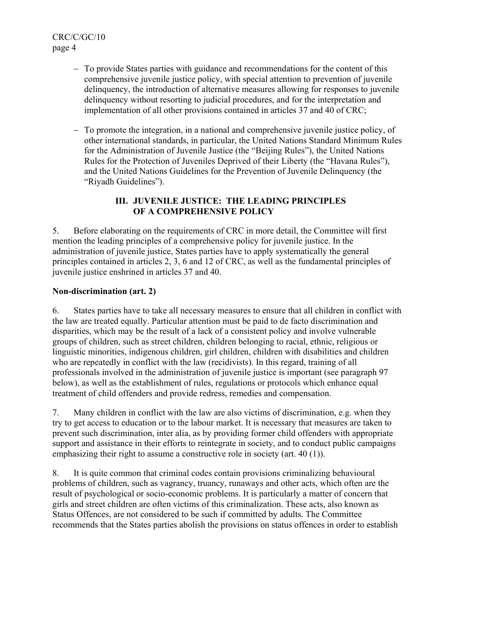- − To provide States parties with guidance and recommendations for the content of this comprehensive juvenile justice policy, with special attention to prevention of juvenile delinquency, the introduction of alternative measures allowing for responses to juvenile delinquency without resorting to judicial procedures, and for the interpretation and implementation of all other provisions contained in articles 37 and 40 of CRC;
- − To promote the integration, in a national and comprehensive juvenile justice policy, of other international standards, in particular, the United Nations Standard Minimum Rules for the Administration of Juvenile Justice (the "Beijing Rules"), the United Nations Rules for the Protection of Juveniles Deprived of their Liberty (the "Havana Rules"), and the United Nations Guidelines for the Prevention of Juvenile Delinquency (the "Riyadh Guidelines").

## **III. JUVENILE JUSTICE: THE LEADING PRINCIPLES OF A COMPREHENSIVE POLICY**

5. Before elaborating on the requirements of CRC in more detail, the Committee will first mention the leading principles of a comprehensive policy for juvenile justice. In the administration of juvenile justice, States parties have to apply systematically the general principles contained in articles 2, 3, 6 and 12 of CRC, as well as the fundamental principles of juvenile justice enshrined in articles 37 and 40.

## **Non-discrimination (art. 2)**

6. States parties have to take all necessary measures to ensure that all children in conflict with the law are treated equally. Particular attention must be paid to de facto discrimination and disparities, which may be the result of a lack of a consistent policy and involve vulnerable groups of children, such as street children, children belonging to racial, ethnic, religious or linguistic minorities, indigenous children, girl children, children with disabilities and children who are repeatedly in conflict with the law (recidivists). In this regard, training of all professionals involved in the administration of juvenile justice is important (see paragraph 97 below), as well as the establishment of rules, regulations or protocols which enhance equal treatment of child offenders and provide redress, remedies and compensation.

7. Many children in conflict with the law are also victims of discrimination, e.g. when they try to get access to education or to the labour market. It is necessary that measures are taken to prevent such discrimination, inter alia, as by providing former child offenders with appropriate support and assistance in their efforts to reintegrate in society, and to conduct public campaigns emphasizing their right to assume a constructive role in society (art. 40 (1)).

8. It is quite common that criminal codes contain provisions criminalizing behavioural problems of children, such as vagrancy, truancy, runaways and other acts, which often are the result of psychological or socio-economic problems. It is particularly a matter of concern that girls and street children are often victims of this criminalization. These acts, also known as Status Offences, are not considered to be such if committed by adults. The Committee recommends that the States parties abolish the provisions on status offences in order to establish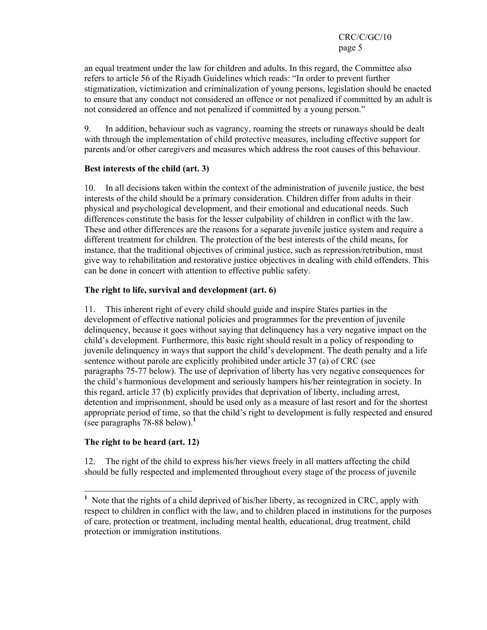an equal treatment under the law for children and adults. In this regard, the Committee also refers to article 56 of the Riyadh Guidelines which reads: "In order to prevent further stigmatization, victimization and criminalization of young persons, legislation should be enacted to ensure that any conduct not considered an offence or not penalized if committed by an adult is not considered an offence and not penalized if committed by a young person."

9. In addition, behaviour such as vagrancy, roaming the streets or runaways should be dealt with through the implementation of child protective measures, including effective support for parents and/or other caregivers and measures which address the root causes of this behaviour.

## **Best interests of the child (art. 3)**

10. In all decisions taken within the context of the administration of juvenile justice, the best interests of the child should be a primary consideration. Children differ from adults in their physical and psychological development, and their emotional and educational needs. Such differences constitute the basis for the lesser culpability of children in conflict with the law. These and other differences are the reasons for a separate juvenile justice system and require a different treatment for children. The protection of the best interests of the child means, for instance, that the traditional objectives of criminal justice, such as repression/retribution, must give way to rehabilitation and restorative justice objectives in dealing with child offenders. This can be done in concert with attention to effective public safety.

#### **The right to life, survival and development (art. 6)**

11. This inherent right of every child should guide and inspire States parties in the development of effective national policies and programmes for the prevention of juvenile delinquency, because it goes without saying that delinquency has a very negative impact on the child's development. Furthermore, this basic right should result in a policy of responding to juvenile delinquency in ways that support the child's development. The death penalty and a life sentence without parole are explicitly prohibited under article 37 (a) of CRC (see paragraphs 75-77 below). The use of deprivation of liberty has very negative consequences for the child's harmonious development and seriously hampers his/her reintegration in society. In this regard, article 37 (b) explicitly provides that deprivation of liberty, including arrest, detention and imprisonment, should be used only as a measure of last resort and for the shortest appropriate period of time, so that the child's right to development is fully respected and ensured (see paragraphs 78-88 below).**<sup>1</sup>**

## **The right to be heard (art. 12)**

12. The right of the child to express his/her views freely in all matters affecting the child should be fully respected and implemented throughout every stage of the process of juvenile

<sup>&</sup>lt;sup>1</sup> Note that the rights of a child deprived of his/her liberty, as recognized in CRC, apply with respect to children in conflict with the law, and to children placed in institutions for the purposes of care, protection or treatment, including mental health, educational, drug treatment, child protection or immigration institutions.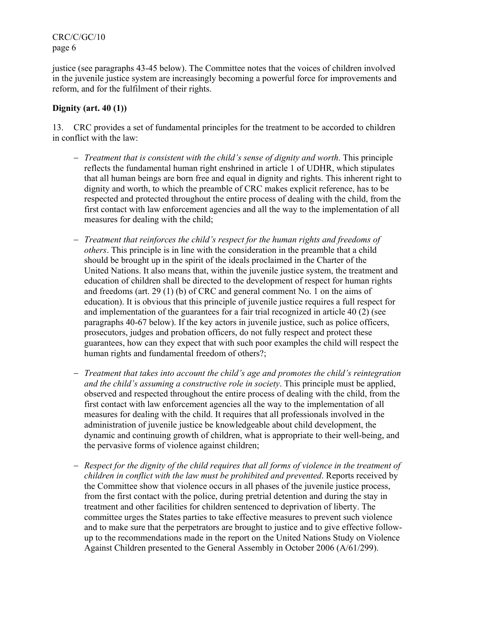justice (see paragraphs 43-45 below). The Committee notes that the voices of children involved in the juvenile justice system are increasingly becoming a powerful force for improvements and reform, and for the fulfilment of their rights.

## **Dignity (art. 40 (1))**

13. CRC provides a set of fundamental principles for the treatment to be accorded to children in conflict with the law:

- − *Treatment that is consistent with the child's sense of dignity and worth*. This principle reflects the fundamental human right enshrined in article 1 of UDHR, which stipulates that all human beings are born free and equal in dignity and rights. This inherent right to dignity and worth, to which the preamble of CRC makes explicit reference, has to be respected and protected throughout the entire process of dealing with the child, from the first contact with law enforcement agencies and all the way to the implementation of all measures for dealing with the child;
- − *Treatment that reinforces the child's respect for the human rights and freedoms of others*. This principle is in line with the consideration in the preamble that a child should be brought up in the spirit of the ideals proclaimed in the Charter of the United Nations. It also means that, within the juvenile justice system, the treatment and education of children shall be directed to the development of respect for human rights and freedoms (art. 29 (1) (b) of CRC and general comment No. 1 on the aims of education). It is obvious that this principle of juvenile justice requires a full respect for and implementation of the guarantees for a fair trial recognized in article 40 (2) (see paragraphs 40-67 below). If the key actors in juvenile justice, such as police officers, prosecutors, judges and probation officers, do not fully respect and protect these guarantees, how can they expect that with such poor examples the child will respect the human rights and fundamental freedom of others?;
- − *Treatment that takes into account the child's age and promotes the child's reintegration and the child's assuming a constructive role in society*. This principle must be applied, observed and respected throughout the entire process of dealing with the child, from the first contact with law enforcement agencies all the way to the implementation of all measures for dealing with the child. It requires that all professionals involved in the administration of juvenile justice be knowledgeable about child development, the dynamic and continuing growth of children, what is appropriate to their well-being, and the pervasive forms of violence against children;
- − *Respect for the dignity of the child requires that all forms of violence in the treatment of children in conflict with the law must be prohibited and prevented*. Reports received by the Committee show that violence occurs in all phases of the juvenile justice process, from the first contact with the police, during pretrial detention and during the stay in treatment and other facilities for children sentenced to deprivation of liberty. The committee urges the States parties to take effective measures to prevent such violence and to make sure that the perpetrators are brought to justice and to give effective followup to the recommendations made in the report on the United Nations Study on Violence Against Children presented to the General Assembly in October 2006 (A/61/299).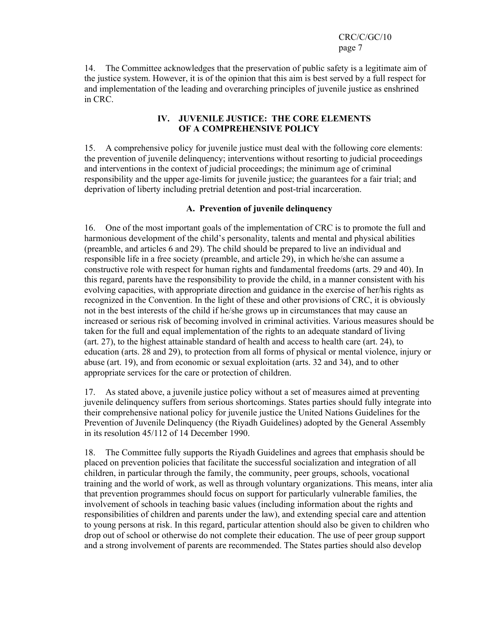14. The Committee acknowledges that the preservation of public safety is a legitimate aim of the justice system. However, it is of the opinion that this aim is best served by a full respect for and implementation of the leading and overarching principles of juvenile justice as enshrined in CRC.

#### **IV. JUVENILE JUSTICE: THE CORE ELEMENTS OF A COMPREHENSIVE POLICY**

15. A comprehensive policy for juvenile justice must deal with the following core elements: the prevention of juvenile delinquency; interventions without resorting to judicial proceedings and interventions in the context of judicial proceedings; the minimum age of criminal responsibility and the upper age-limits for juvenile justice; the guarantees for a fair trial; and deprivation of liberty including pretrial detention and post-trial incarceration.

## **A. Prevention of juvenile delinquency**

16. One of the most important goals of the implementation of CRC is to promote the full and harmonious development of the child's personality, talents and mental and physical abilities (preamble, and articles 6 and 29). The child should be prepared to live an individual and responsible life in a free society (preamble, and article 29), in which he/she can assume a constructive role with respect for human rights and fundamental freedoms (arts. 29 and 40). In this regard, parents have the responsibility to provide the child, in a manner consistent with his evolving capacities, with appropriate direction and guidance in the exercise of her/his rights as recognized in the Convention. In the light of these and other provisions of CRC, it is obviously not in the best interests of the child if he/she grows up in circumstances that may cause an increased or serious risk of becoming involved in criminal activities. Various measures should be taken for the full and equal implementation of the rights to an adequate standard of living (art. 27), to the highest attainable standard of health and access to health care (art. 24), to education (arts. 28 and 29), to protection from all forms of physical or mental violence, injury or abuse (art. 19), and from economic or sexual exploitation (arts. 32 and 34), and to other appropriate services for the care or protection of children.

17. As stated above, a juvenile justice policy without a set of measures aimed at preventing juvenile delinquency suffers from serious shortcomings. States parties should fully integrate into their comprehensive national policy for juvenile justice the United Nations Guidelines for the Prevention of Juvenile Delinquency (the Riyadh Guidelines) adopted by the General Assembly in its resolution 45/112 of 14 December 1990.

18. The Committee fully supports the Riyadh Guidelines and agrees that emphasis should be placed on prevention policies that facilitate the successful socialization and integration of all children, in particular through the family, the community, peer groups, schools, vocational training and the world of work, as well as through voluntary organizations. This means, inter alia that prevention programmes should focus on support for particularly vulnerable families, the involvement of schools in teaching basic values (including information about the rights and responsibilities of children and parents under the law), and extending special care and attention to young persons at risk. In this regard, particular attention should also be given to children who drop out of school or otherwise do not complete their education. The use of peer group support and a strong involvement of parents are recommended. The States parties should also develop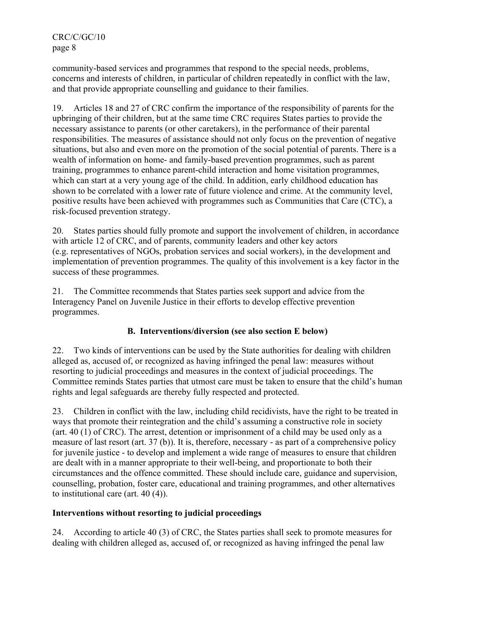community-based services and programmes that respond to the special needs, problems, concerns and interests of children, in particular of children repeatedly in conflict with the law, and that provide appropriate counselling and guidance to their families.

19. Articles 18 and 27 of CRC confirm the importance of the responsibility of parents for the upbringing of their children, but at the same time CRC requires States parties to provide the necessary assistance to parents (or other caretakers), in the performance of their parental responsibilities. The measures of assistance should not only focus on the prevention of negative situations, but also and even more on the promotion of the social potential of parents. There is a wealth of information on home- and family-based prevention programmes, such as parent training, programmes to enhance parent-child interaction and home visitation programmes, which can start at a very young age of the child. In addition, early childhood education has shown to be correlated with a lower rate of future violence and crime. At the community level, positive results have been achieved with programmes such as Communities that Care (CTC), a risk-focused prevention strategy.

20. States parties should fully promote and support the involvement of children, in accordance with article 12 of CRC, and of parents, community leaders and other key actors (e.g. representatives of NGOs, probation services and social workers), in the development and implementation of prevention programmes. The quality of this involvement is a key factor in the success of these programmes.

21. The Committee recommends that States parties seek support and advice from the Interagency Panel on Juvenile Justice in their efforts to develop effective prevention programmes.

## **B. Interventions/diversion (see also section E below)**

22. Two kinds of interventions can be used by the State authorities for dealing with children alleged as, accused of, or recognized as having infringed the penal law: measures without resorting to judicial proceedings and measures in the context of judicial proceedings. The Committee reminds States parties that utmost care must be taken to ensure that the child's human rights and legal safeguards are thereby fully respected and protected.

23. Children in conflict with the law, including child recidivists, have the right to be treated in ways that promote their reintegration and the child's assuming a constructive role in society (art. 40 (1) of CRC). The arrest, detention or imprisonment of a child may be used only as a measure of last resort (art. 37 (b)). It is, therefore, necessary - as part of a comprehensive policy for juvenile justice - to develop and implement a wide range of measures to ensure that children are dealt with in a manner appropriate to their well-being, and proportionate to both their circumstances and the offence committed. These should include care, guidance and supervision, counselling, probation, foster care, educational and training programmes, and other alternatives to institutional care (art. 40 (4)).

# **Interventions without resorting to judicial proceedings**

24. According to article 40 (3) of CRC, the States parties shall seek to promote measures for dealing with children alleged as, accused of, or recognized as having infringed the penal law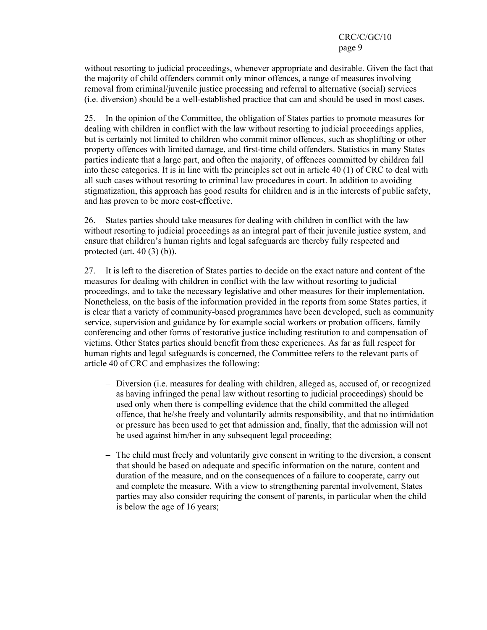without resorting to judicial proceedings, whenever appropriate and desirable. Given the fact that the majority of child offenders commit only minor offences, a range of measures involving removal from criminal/juvenile justice processing and referral to alternative (social) services (i.e. diversion) should be a well-established practice that can and should be used in most cases.

25. In the opinion of the Committee, the obligation of States parties to promote measures for dealing with children in conflict with the law without resorting to judicial proceedings applies, but is certainly not limited to children who commit minor offences, such as shoplifting or other property offences with limited damage, and first-time child offenders. Statistics in many States parties indicate that a large part, and often the majority, of offences committed by children fall into these categories. It is in line with the principles set out in article 40 (1) of CRC to deal with all such cases without resorting to criminal law procedures in court. In addition to avoiding stigmatization, this approach has good results for children and is in the interests of public safety, and has proven to be more cost-effective.

26. States parties should take measures for dealing with children in conflict with the law without resorting to judicial proceedings as an integral part of their juvenile justice system, and ensure that children's human rights and legal safeguards are thereby fully respected and protected (art.  $40(3)(b)$ ).

27. It is left to the discretion of States parties to decide on the exact nature and content of the measures for dealing with children in conflict with the law without resorting to judicial proceedings, and to take the necessary legislative and other measures for their implementation. Nonetheless, on the basis of the information provided in the reports from some States parties, it is clear that a variety of community-based programmes have been developed, such as community service, supervision and guidance by for example social workers or probation officers, family conferencing and other forms of restorative justice including restitution to and compensation of victims. Other States parties should benefit from these experiences. As far as full respect for human rights and legal safeguards is concerned, the Committee refers to the relevant parts of article 40 of CRC and emphasizes the following:

- − Diversion (i.e. measures for dealing with children, alleged as, accused of, or recognized as having infringed the penal law without resorting to judicial proceedings) should be used only when there is compelling evidence that the child committed the alleged offence, that he/she freely and voluntarily admits responsibility, and that no intimidation or pressure has been used to get that admission and, finally, that the admission will not be used against him/her in any subsequent legal proceeding;
- − The child must freely and voluntarily give consent in writing to the diversion, a consent that should be based on adequate and specific information on the nature, content and duration of the measure, and on the consequences of a failure to cooperate, carry out and complete the measure. With a view to strengthening parental involvement, States parties may also consider requiring the consent of parents, in particular when the child is below the age of 16 years;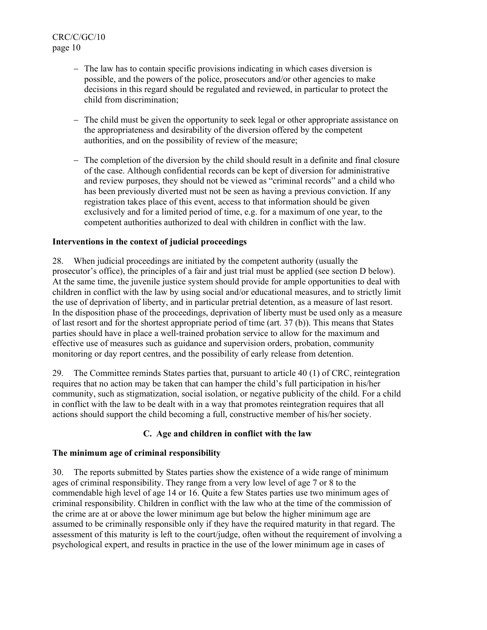- − The law has to contain specific provisions indicating in which cases diversion is possible, and the powers of the police, prosecutors and/or other agencies to make decisions in this regard should be regulated and reviewed, in particular to protect the child from discrimination;
- − The child must be given the opportunity to seek legal or other appropriate assistance on the appropriateness and desirability of the diversion offered by the competent authorities, and on the possibility of review of the measure;
- − The completion of the diversion by the child should result in a definite and final closure of the case. Although confidential records can be kept of diversion for administrative and review purposes, they should not be viewed as "criminal records" and a child who has been previously diverted must not be seen as having a previous conviction. If any registration takes place of this event, access to that information should be given exclusively and for a limited period of time, e.g. for a maximum of one year, to the competent authorities authorized to deal with children in conflict with the law.

#### **Interventions in the context of judicial proceedings**

28. When judicial proceedings are initiated by the competent authority (usually the prosecutor's office), the principles of a fair and just trial must be applied (see section D below). At the same time, the juvenile justice system should provide for ample opportunities to deal with children in conflict with the law by using social and/or educational measures, and to strictly limit the use of deprivation of liberty, and in particular pretrial detention, as a measure of last resort. In the disposition phase of the proceedings, deprivation of liberty must be used only as a measure of last resort and for the shortest appropriate period of time (art. 37 (b)). This means that States parties should have in place a well-trained probation service to allow for the maximum and effective use of measures such as guidance and supervision orders, probation, community monitoring or day report centres, and the possibility of early release from detention.

29. The Committee reminds States parties that, pursuant to article 40 (1) of CRC, reintegration requires that no action may be taken that can hamper the child's full participation in his/her community, such as stigmatization, social isolation, or negative publicity of the child. For a child in conflict with the law to be dealt with in a way that promotes reintegration requires that all actions should support the child becoming a full, constructive member of his/her society.

## **C. Age and children in conflict with the law**

## **The minimum age of criminal responsibility**

30. The reports submitted by States parties show the existence of a wide range of minimum ages of criminal responsibility. They range from a very low level of age 7 or 8 to the commendable high level of age 14 or 16. Quite a few States parties use two minimum ages of criminal responsibility. Children in conflict with the law who at the time of the commission of the crime are at or above the lower minimum age but below the higher minimum age are assumed to be criminally responsible only if they have the required maturity in that regard. The assessment of this maturity is left to the court/judge, often without the requirement of involving a psychological expert, and results in practice in the use of the lower minimum age in cases of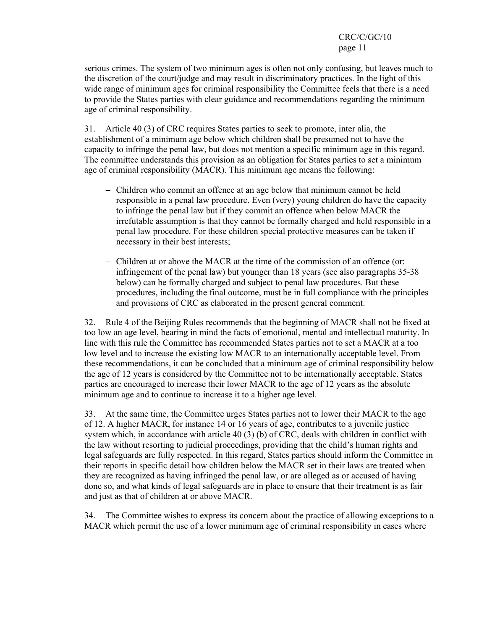serious crimes. The system of two minimum ages is often not only confusing, but leaves much to the discretion of the court/judge and may result in discriminatory practices. In the light of this wide range of minimum ages for criminal responsibility the Committee feels that there is a need to provide the States parties with clear guidance and recommendations regarding the minimum age of criminal responsibility.

31. Article 40 (3) of CRC requires States parties to seek to promote, inter alia, the establishment of a minimum age below which children shall be presumed not to have the capacity to infringe the penal law, but does not mention a specific minimum age in this regard. The committee understands this provision as an obligation for States parties to set a minimum age of criminal responsibility (MACR). This minimum age means the following:

- − Children who commit an offence at an age below that minimum cannot be held responsible in a penal law procedure. Even (very) young children do have the capacity to infringe the penal law but if they commit an offence when below MACR the irrefutable assumption is that they cannot be formally charged and held responsible in a penal law procedure. For these children special protective measures can be taken if necessary in their best interests;
- − Children at or above the MACR at the time of the commission of an offence (or: infringement of the penal law) but younger than 18 years (see also paragraphs 35-38 below) can be formally charged and subject to penal law procedures. But these procedures, including the final outcome, must be in full compliance with the principles and provisions of CRC as elaborated in the present general comment.

32. Rule 4 of the Beijing Rules recommends that the beginning of MACR shall not be fixed at too low an age level, bearing in mind the facts of emotional, mental and intellectual maturity. In line with this rule the Committee has recommended States parties not to set a MACR at a too low level and to increase the existing low MACR to an internationally acceptable level. From these recommendations, it can be concluded that a minimum age of criminal responsibility below the age of 12 years is considered by the Committee not to be internationally acceptable. States parties are encouraged to increase their lower MACR to the age of 12 years as the absolute minimum age and to continue to increase it to a higher age level.

33. At the same time, the Committee urges States parties not to lower their MACR to the age of 12. A higher MACR, for instance 14 or 16 years of age, contributes to a juvenile justice system which, in accordance with article 40 (3) (b) of CRC, deals with children in conflict with the law without resorting to judicial proceedings, providing that the child's human rights and legal safeguards are fully respected. In this regard, States parties should inform the Committee in their reports in specific detail how children below the MACR set in their laws are treated when they are recognized as having infringed the penal law, or are alleged as or accused of having done so, and what kinds of legal safeguards are in place to ensure that their treatment is as fair and just as that of children at or above MACR.

34. The Committee wishes to express its concern about the practice of allowing exceptions to a MACR which permit the use of a lower minimum age of criminal responsibility in cases where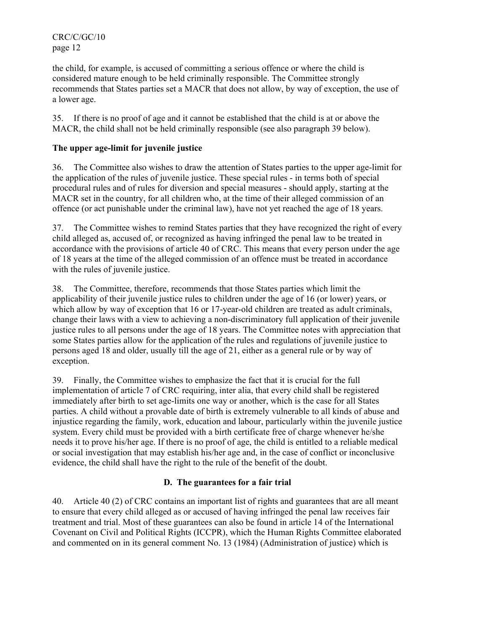the child, for example, is accused of committing a serious offence or where the child is considered mature enough to be held criminally responsible. The Committee strongly recommends that States parties set a MACR that does not allow, by way of exception, the use of a lower age.

35. If there is no proof of age and it cannot be established that the child is at or above the MACR, the child shall not be held criminally responsible (see also paragraph 39 below).

## **The upper age-limit for juvenile justice**

36. The Committee also wishes to draw the attention of States parties to the upper age-limit for the application of the rules of juvenile justice. These special rules - in terms both of special procedural rules and of rules for diversion and special measures - should apply, starting at the MACR set in the country, for all children who, at the time of their alleged commission of an offence (or act punishable under the criminal law), have not yet reached the age of 18 years.

37. The Committee wishes to remind States parties that they have recognized the right of every child alleged as, accused of, or recognized as having infringed the penal law to be treated in accordance with the provisions of article 40 of CRC. This means that every person under the age of 18 years at the time of the alleged commission of an offence must be treated in accordance with the rules of juvenile justice.

38. The Committee, therefore, recommends that those States parties which limit the applicability of their juvenile justice rules to children under the age of 16 (or lower) years, or which allow by way of exception that 16 or 17-year-old children are treated as adult criminals, change their laws with a view to achieving a non-discriminatory full application of their juvenile justice rules to all persons under the age of 18 years. The Committee notes with appreciation that some States parties allow for the application of the rules and regulations of juvenile justice to persons aged 18 and older, usually till the age of 21, either as a general rule or by way of exception.

39. Finally, the Committee wishes to emphasize the fact that it is crucial for the full implementation of article 7 of CRC requiring, inter alia, that every child shall be registered immediately after birth to set age-limits one way or another, which is the case for all States parties. A child without a provable date of birth is extremely vulnerable to all kinds of abuse and injustice regarding the family, work, education and labour, particularly within the juvenile justice system. Every child must be provided with a birth certificate free of charge whenever he/she needs it to prove his/her age. If there is no proof of age, the child is entitled to a reliable medical or social investigation that may establish his/her age and, in the case of conflict or inconclusive evidence, the child shall have the right to the rule of the benefit of the doubt.

## **D. The guarantees for a fair trial**

40. Article 40 (2) of CRC contains an important list of rights and guarantees that are all meant to ensure that every child alleged as or accused of having infringed the penal law receives fair treatment and trial. Most of these guarantees can also be found in article 14 of the International Covenant on Civil and Political Rights (ICCPR), which the Human Rights Committee elaborated and commented on in its general comment No. 13 (1984) (Administration of justice) which is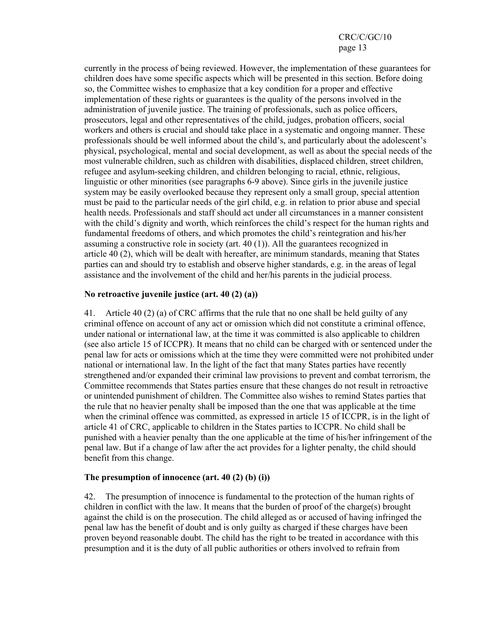currently in the process of being reviewed. However, the implementation of these guarantees for children does have some specific aspects which will be presented in this section. Before doing so, the Committee wishes to emphasize that a key condition for a proper and effective implementation of these rights or guarantees is the quality of the persons involved in the administration of juvenile justice. The training of professionals, such as police officers, prosecutors, legal and other representatives of the child, judges, probation officers, social workers and others is crucial and should take place in a systematic and ongoing manner. These professionals should be well informed about the child's, and particularly about the adolescent's physical, psychological, mental and social development, as well as about the special needs of the most vulnerable children, such as children with disabilities, displaced children, street children, refugee and asylum-seeking children, and children belonging to racial, ethnic, religious, linguistic or other minorities (see paragraphs 6-9 above). Since girls in the juvenile justice system may be easily overlooked because they represent only a small group, special attention must be paid to the particular needs of the girl child, e.g. in relation to prior abuse and special health needs. Professionals and staff should act under all circumstances in a manner consistent with the child's dignity and worth, which reinforces the child's respect for the human rights and fundamental freedoms of others, and which promotes the child's reintegration and his/her assuming a constructive role in society (art. 40 (1)). All the guarantees recognized in article 40 (2), which will be dealt with hereafter, are minimum standards, meaning that States parties can and should try to establish and observe higher standards, e.g. in the areas of legal assistance and the involvement of the child and her/his parents in the judicial process.

#### **No retroactive juvenile justice (art. 40 (2) (a))**

41. Article 40 (2) (a) of CRC affirms that the rule that no one shall be held guilty of any criminal offence on account of any act or omission which did not constitute a criminal offence, under national or international law, at the time it was committed is also applicable to children (see also article 15 of ICCPR). It means that no child can be charged with or sentenced under the penal law for acts or omissions which at the time they were committed were not prohibited under national or international law. In the light of the fact that many States parties have recently strengthened and/or expanded their criminal law provisions to prevent and combat terrorism, the Committee recommends that States parties ensure that these changes do not result in retroactive or unintended punishment of children. The Committee also wishes to remind States parties that the rule that no heavier penalty shall be imposed than the one that was applicable at the time when the criminal offence was committed, as expressed in article 15 of ICCPR, is in the light of article 41 of CRC, applicable to children in the States parties to ICCPR. No child shall be punished with a heavier penalty than the one applicable at the time of his/her infringement of the penal law. But if a change of law after the act provides for a lighter penalty, the child should benefit from this change.

#### **The presumption of innocence (art. 40 (2) (b) (i))**

42. The presumption of innocence is fundamental to the protection of the human rights of children in conflict with the law. It means that the burden of proof of the charge(s) brought against the child is on the prosecution. The child alleged as or accused of having infringed the penal law has the benefit of doubt and is only guilty as charged if these charges have been proven beyond reasonable doubt. The child has the right to be treated in accordance with this presumption and it is the duty of all public authorities or others involved to refrain from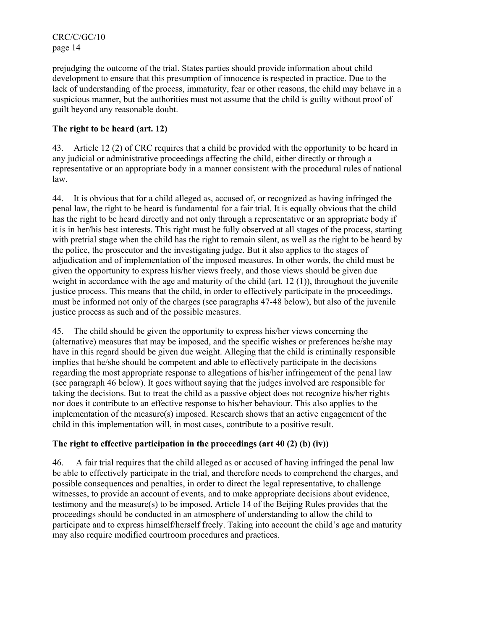prejudging the outcome of the trial. States parties should provide information about child development to ensure that this presumption of innocence is respected in practice. Due to the lack of understanding of the process, immaturity, fear or other reasons, the child may behave in a suspicious manner, but the authorities must not assume that the child is guilty without proof of guilt beyond any reasonable doubt.

## **The right to be heard (art. 12)**

43. Article 12 (2) of CRC requires that a child be provided with the opportunity to be heard in any judicial or administrative proceedings affecting the child, either directly or through a representative or an appropriate body in a manner consistent with the procedural rules of national law.

44. It is obvious that for a child alleged as, accused of, or recognized as having infringed the penal law, the right to be heard is fundamental for a fair trial. It is equally obvious that the child has the right to be heard directly and not only through a representative or an appropriate body if it is in her/his best interests. This right must be fully observed at all stages of the process, starting with pretrial stage when the child has the right to remain silent, as well as the right to be heard by the police, the prosecutor and the investigating judge. But it also applies to the stages of adjudication and of implementation of the imposed measures. In other words, the child must be given the opportunity to express his/her views freely, and those views should be given due weight in accordance with the age and maturity of the child (art. 12 (1)), throughout the juvenile justice process. This means that the child, in order to effectively participate in the proceedings, must be informed not only of the charges (see paragraphs 47-48 below), but also of the juvenile justice process as such and of the possible measures.

45. The child should be given the opportunity to express his/her views concerning the (alternative) measures that may be imposed, and the specific wishes or preferences he/she may have in this regard should be given due weight. Alleging that the child is criminally responsible implies that he/she should be competent and able to effectively participate in the decisions regarding the most appropriate response to allegations of his/her infringement of the penal law (see paragraph 46 below). It goes without saying that the judges involved are responsible for taking the decisions. But to treat the child as a passive object does not recognize his/her rights nor does it contribute to an effective response to his/her behaviour. This also applies to the implementation of the measure(s) imposed. Research shows that an active engagement of the child in this implementation will, in most cases, contribute to a positive result.

## **The right to effective participation in the proceedings (art 40 (2) (b) (iv))**

46. A fair trial requires that the child alleged as or accused of having infringed the penal law be able to effectively participate in the trial, and therefore needs to comprehend the charges, and possible consequences and penalties, in order to direct the legal representative, to challenge witnesses, to provide an account of events, and to make appropriate decisions about evidence, testimony and the measure(s) to be imposed. Article 14 of the Beijing Rules provides that the proceedings should be conducted in an atmosphere of understanding to allow the child to participate and to express himself/herself freely. Taking into account the child's age and maturity may also require modified courtroom procedures and practices.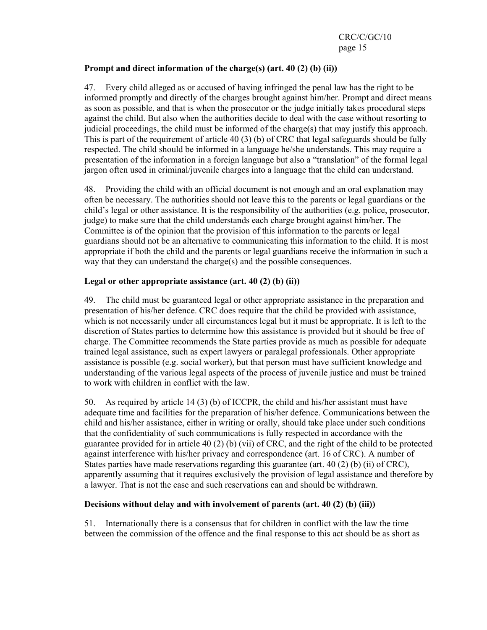#### **Prompt and direct information of the charge(s) (art. 40 (2) (b) (ii))**

47. Every child alleged as or accused of having infringed the penal law has the right to be informed promptly and directly of the charges brought against him/her. Prompt and direct means as soon as possible, and that is when the prosecutor or the judge initially takes procedural steps against the child. But also when the authorities decide to deal with the case without resorting to judicial proceedings, the child must be informed of the charge(s) that may justify this approach. This is part of the requirement of article 40 (3) (b) of CRC that legal safeguards should be fully respected. The child should be informed in a language he/she understands. This may require a presentation of the information in a foreign language but also a "translation" of the formal legal jargon often used in criminal/juvenile charges into a language that the child can understand.

48. Providing the child with an official document is not enough and an oral explanation may often be necessary. The authorities should not leave this to the parents or legal guardians or the child's legal or other assistance. It is the responsibility of the authorities (e.g. police, prosecutor, judge) to make sure that the child understands each charge brought against him/her. The Committee is of the opinion that the provision of this information to the parents or legal guardians should not be an alternative to communicating this information to the child. It is most appropriate if both the child and the parents or legal guardians receive the information in such a way that they can understand the charge(s) and the possible consequences.

#### **Legal or other appropriate assistance (art. 40 (2) (b) (ii))**

49. The child must be guaranteed legal or other appropriate assistance in the preparation and presentation of his/her defence. CRC does require that the child be provided with assistance, which is not necessarily under all circumstances legal but it must be appropriate. It is left to the discretion of States parties to determine how this assistance is provided but it should be free of charge. The Committee recommends the State parties provide as much as possible for adequate trained legal assistance, such as expert lawyers or paralegal professionals. Other appropriate assistance is possible (e.g. social worker), but that person must have sufficient knowledge and understanding of the various legal aspects of the process of juvenile justice and must be trained to work with children in conflict with the law.

50. As required by article 14 (3) (b) of ICCPR, the child and his/her assistant must have adequate time and facilities for the preparation of his/her defence. Communications between the child and his/her assistance, either in writing or orally, should take place under such conditions that the confidentiality of such communications is fully respected in accordance with the guarantee provided for in article 40 (2) (b) (vii) of CRC, and the right of the child to be protected against interference with his/her privacy and correspondence (art. 16 of CRC). A number of States parties have made reservations regarding this guarantee (art. 40 (2) (b) (ii) of CRC), apparently assuming that it requires exclusively the provision of legal assistance and therefore by a lawyer. That is not the case and such reservations can and should be withdrawn.

#### **Decisions without delay and with involvement of parents (art. 40 (2) (b) (iii))**

51. Internationally there is a consensus that for children in conflict with the law the time between the commission of the offence and the final response to this act should be as short as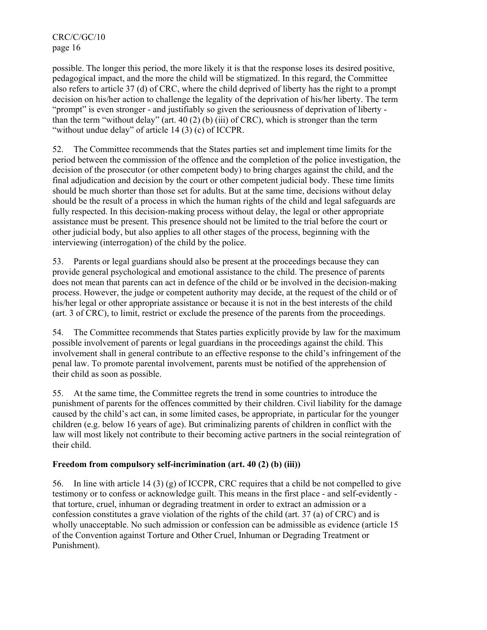possible. The longer this period, the more likely it is that the response loses its desired positive, pedagogical impact, and the more the child will be stigmatized. In this regard, the Committee also refers to article 37 (d) of CRC, where the child deprived of liberty has the right to a prompt decision on his/her action to challenge the legality of the deprivation of his/her liberty. The term "prompt" is even stronger - and justifiably so given the seriousness of deprivation of liberty than the term "without delay" (art. 40 (2) (b) (iii) of CRC), which is stronger than the term "without undue delay" of article 14 (3) (c) of ICCPR.

52. The Committee recommends that the States parties set and implement time limits for the period between the commission of the offence and the completion of the police investigation, the decision of the prosecutor (or other competent body) to bring charges against the child, and the final adjudication and decision by the court or other competent judicial body. These time limits should be much shorter than those set for adults. But at the same time, decisions without delay should be the result of a process in which the human rights of the child and legal safeguards are fully respected. In this decision-making process without delay, the legal or other appropriate assistance must be present. This presence should not be limited to the trial before the court or other judicial body, but also applies to all other stages of the process, beginning with the interviewing (interrogation) of the child by the police.

53. Parents or legal guardians should also be present at the proceedings because they can provide general psychological and emotional assistance to the child. The presence of parents does not mean that parents can act in defence of the child or be involved in the decision-making process. However, the judge or competent authority may decide, at the request of the child or of his/her legal or other appropriate assistance or because it is not in the best interests of the child (art. 3 of CRC), to limit, restrict or exclude the presence of the parents from the proceedings.

54. The Committee recommends that States parties explicitly provide by law for the maximum possible involvement of parents or legal guardians in the proceedings against the child. This involvement shall in general contribute to an effective response to the child's infringement of the penal law. To promote parental involvement, parents must be notified of the apprehension of their child as soon as possible.

55. At the same time, the Committee regrets the trend in some countries to introduce the punishment of parents for the offences committed by their children. Civil liability for the damage caused by the child's act can, in some limited cases, be appropriate, in particular for the younger children (e.g. below 16 years of age). But criminalizing parents of children in conflict with the law will most likely not contribute to their becoming active partners in the social reintegration of their child.

## **Freedom from compulsory self-incrimination (art. 40 (2) (b) (iii))**

56. In line with article 14 (3) (g) of ICCPR, CRC requires that a child be not compelled to give testimony or to confess or acknowledge guilt. This means in the first place - and self-evidently that torture, cruel, inhuman or degrading treatment in order to extract an admission or a confession constitutes a grave violation of the rights of the child (art. 37 (a) of CRC) and is wholly unacceptable. No such admission or confession can be admissible as evidence (article 15 of the Convention against Torture and Other Cruel, Inhuman or Degrading Treatment or Punishment).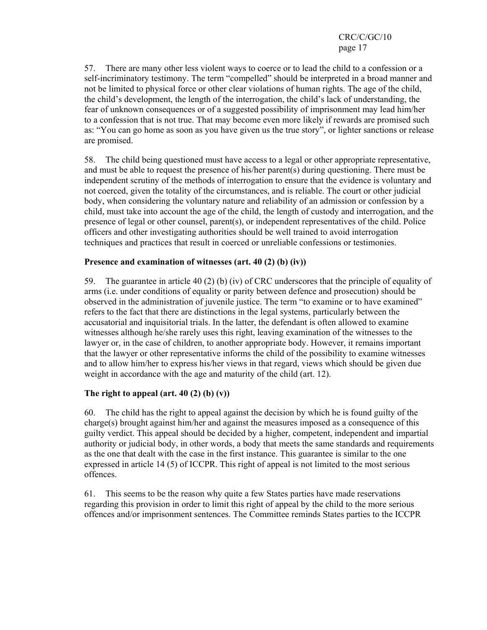57. There are many other less violent ways to coerce or to lead the child to a confession or a self-incriminatory testimony. The term "compelled" should be interpreted in a broad manner and not be limited to physical force or other clear violations of human rights. The age of the child, the child's development, the length of the interrogation, the child's lack of understanding, the fear of unknown consequences or of a suggested possibility of imprisonment may lead him/her to a confession that is not true. That may become even more likely if rewards are promised such as: "You can go home as soon as you have given us the true story", or lighter sanctions or release are promised.

58. The child being questioned must have access to a legal or other appropriate representative, and must be able to request the presence of his/her parent(s) during questioning. There must be independent scrutiny of the methods of interrogation to ensure that the evidence is voluntary and not coerced, given the totality of the circumstances, and is reliable. The court or other judicial body, when considering the voluntary nature and reliability of an admission or confession by a child, must take into account the age of the child, the length of custody and interrogation, and the presence of legal or other counsel, parent(s), or independent representatives of the child. Police officers and other investigating authorities should be well trained to avoid interrogation techniques and practices that result in coerced or unreliable confessions or testimonies.

## **Presence and examination of witnesses (art. 40 (2) (b) (iv))**

59. The guarantee in article 40 (2) (b) (iv) of CRC underscores that the principle of equality of arms (i.e. under conditions of equality or parity between defence and prosecution) should be observed in the administration of juvenile justice. The term "to examine or to have examined" refers to the fact that there are distinctions in the legal systems, particularly between the accusatorial and inquisitorial trials. In the latter, the defendant is often allowed to examine witnesses although he/she rarely uses this right, leaving examination of the witnesses to the lawyer or, in the case of children, to another appropriate body. However, it remains important that the lawyer or other representative informs the child of the possibility to examine witnesses and to allow him/her to express his/her views in that regard, views which should be given due weight in accordance with the age and maturity of the child (art. 12).

## **The right to appeal (art. 40 (2) (b) (v))**

60. The child has the right to appeal against the decision by which he is found guilty of the charge(s) brought against him/her and against the measures imposed as a consequence of this guilty verdict. This appeal should be decided by a higher, competent, independent and impartial authority or judicial body, in other words, a body that meets the same standards and requirements as the one that dealt with the case in the first instance. This guarantee is similar to the one expressed in article 14 (5) of ICCPR. This right of appeal is not limited to the most serious offences.

61. This seems to be the reason why quite a few States parties have made reservations regarding this provision in order to limit this right of appeal by the child to the more serious offences and/or imprisonment sentences. The Committee reminds States parties to the ICCPR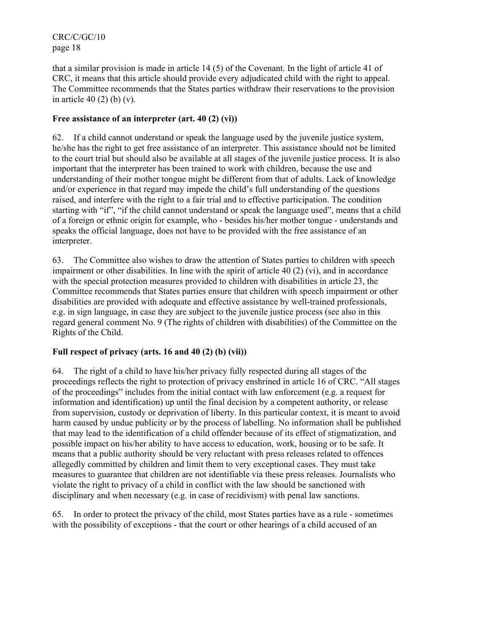that a similar provision is made in article 14 (5) of the Covenant. In the light of article 41 of CRC, it means that this article should provide every adjudicated child with the right to appeal. The Committee recommends that the States parties withdraw their reservations to the provision in article 40 (2) (b)  $(v)$ .

## **Free assistance of an interpreter (art. 40 (2) (vi))**

62. If a child cannot understand or speak the language used by the juvenile justice system, he/she has the right to get free assistance of an interpreter. This assistance should not be limited to the court trial but should also be available at all stages of the juvenile justice process. It is also important that the interpreter has been trained to work with children, because the use and understanding of their mother tongue might be different from that of adults. Lack of knowledge and/or experience in that regard may impede the child's full understanding of the questions raised, and interfere with the right to a fair trial and to effective participation. The condition starting with "if", "if the child cannot understand or speak the language used", means that a child of a foreign or ethnic origin for example, who - besides his/her mother tongue - understands and speaks the official language, does not have to be provided with the free assistance of an interpreter.

63. The Committee also wishes to draw the attention of States parties to children with speech impairment or other disabilities. In line with the spirit of article 40 (2) (vi), and in accordance with the special protection measures provided to children with disabilities in article 23, the Committee recommends that States parties ensure that children with speech impairment or other disabilities are provided with adequate and effective assistance by well-trained professionals, e.g. in sign language, in case they are subject to the juvenile justice process (see also in this regard general comment No. 9 (The rights of children with disabilities) of the Committee on the Rights of the Child.

# **Full respect of privacy (arts. 16 and 40 (2) (b) (vii))**

64. The right of a child to have his/her privacy fully respected during all stages of the proceedings reflects the right to protection of privacy enshrined in article 16 of CRC. "All stages of the proceedings" includes from the initial contact with law enforcement (e.g. a request for information and identification) up until the final decision by a competent authority, or release from supervision, custody or deprivation of liberty. In this particular context, it is meant to avoid harm caused by undue publicity or by the process of labelling. No information shall be published that may lead to the identification of a child offender because of its effect of stigmatization, and possible impact on his/her ability to have access to education, work, housing or to be safe. It means that a public authority should be very reluctant with press releases related to offences allegedly committed by children and limit them to very exceptional cases. They must take measures to guarantee that children are not identifiable via these press releases. Journalists who violate the right to privacy of a child in conflict with the law should be sanctioned with disciplinary and when necessary (e.g. in case of recidivism) with penal law sanctions.

65. In order to protect the privacy of the child, most States parties have as a rule - sometimes with the possibility of exceptions - that the court or other hearings of a child accused of an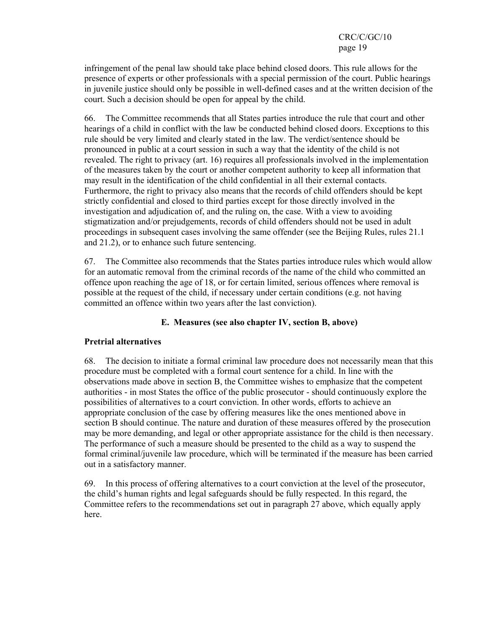infringement of the penal law should take place behind closed doors. This rule allows for the presence of experts or other professionals with a special permission of the court. Public hearings in juvenile justice should only be possible in well-defined cases and at the written decision of the court. Such a decision should be open for appeal by the child.

66. The Committee recommends that all States parties introduce the rule that court and other hearings of a child in conflict with the law be conducted behind closed doors. Exceptions to this rule should be very limited and clearly stated in the law. The verdict/sentence should be pronounced in public at a court session in such a way that the identity of the child is not revealed. The right to privacy (art. 16) requires all professionals involved in the implementation of the measures taken by the court or another competent authority to keep all information that may result in the identification of the child confidential in all their external contacts. Furthermore, the right to privacy also means that the records of child offenders should be kept strictly confidential and closed to third parties except for those directly involved in the investigation and adjudication of, and the ruling on, the case. With a view to avoiding stigmatization and/or prejudgements, records of child offenders should not be used in adult proceedings in subsequent cases involving the same offender (see the Beijing Rules, rules 21.1 and 21.2), or to enhance such future sentencing.

67. The Committee also recommends that the States parties introduce rules which would allow for an automatic removal from the criminal records of the name of the child who committed an offence upon reaching the age of 18, or for certain limited, serious offences where removal is possible at the request of the child, if necessary under certain conditions (e.g. not having committed an offence within two years after the last conviction).

## **E. Measures (see also chapter IV, section B, above)**

## **Pretrial alternatives**

68. The decision to initiate a formal criminal law procedure does not necessarily mean that this procedure must be completed with a formal court sentence for a child. In line with the observations made above in section B, the Committee wishes to emphasize that the competent authorities - in most States the office of the public prosecutor - should continuously explore the possibilities of alternatives to a court conviction. In other words, efforts to achieve an appropriate conclusion of the case by offering measures like the ones mentioned above in section B should continue. The nature and duration of these measures offered by the prosecution may be more demanding, and legal or other appropriate assistance for the child is then necessary. The performance of such a measure should be presented to the child as a way to suspend the formal criminal/juvenile law procedure, which will be terminated if the measure has been carried out in a satisfactory manner.

69. In this process of offering alternatives to a court conviction at the level of the prosecutor, the child's human rights and legal safeguards should be fully respected. In this regard, the Committee refers to the recommendations set out in paragraph 27 above, which equally apply here.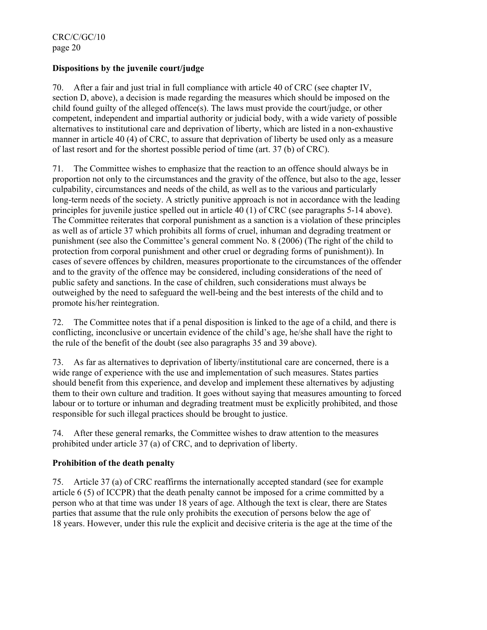## **Dispositions by the juvenile court/judge**

70. After a fair and just trial in full compliance with article 40 of CRC (see chapter IV, section D, above), a decision is made regarding the measures which should be imposed on the child found guilty of the alleged offence(s). The laws must provide the court/judge, or other competent, independent and impartial authority or judicial body, with a wide variety of possible alternatives to institutional care and deprivation of liberty, which are listed in a non-exhaustive manner in article 40 (4) of CRC, to assure that deprivation of liberty be used only as a measure of last resort and for the shortest possible period of time (art. 37 (b) of CRC).

71. The Committee wishes to emphasize that the reaction to an offence should always be in proportion not only to the circumstances and the gravity of the offence, but also to the age, lesser culpability, circumstances and needs of the child, as well as to the various and particularly long-term needs of the society. A strictly punitive approach is not in accordance with the leading principles for juvenile justice spelled out in article 40 (1) of CRC (see paragraphs 5-14 above). The Committee reiterates that corporal punishment as a sanction is a violation of these principles as well as of article 37 which prohibits all forms of cruel, inhuman and degrading treatment or punishment (see also the Committee's general comment No. 8 (2006) (The right of the child to protection from corporal punishment and other cruel or degrading forms of punishment)). In cases of severe offences by children, measures proportionate to the circumstances of the offender and to the gravity of the offence may be considered, including considerations of the need of public safety and sanctions. In the case of children, such considerations must always be outweighed by the need to safeguard the well-being and the best interests of the child and to promote his/her reintegration.

72. The Committee notes that if a penal disposition is linked to the age of a child, and there is conflicting, inconclusive or uncertain evidence of the child's age, he/she shall have the right to the rule of the benefit of the doubt (see also paragraphs 35 and 39 above).

73. As far as alternatives to deprivation of liberty/institutional care are concerned, there is a wide range of experience with the use and implementation of such measures. States parties should benefit from this experience, and develop and implement these alternatives by adjusting them to their own culture and tradition. It goes without saying that measures amounting to forced labour or to torture or inhuman and degrading treatment must be explicitly prohibited, and those responsible for such illegal practices should be brought to justice.

74. After these general remarks, the Committee wishes to draw attention to the measures prohibited under article 37 (a) of CRC, and to deprivation of liberty.

## **Prohibition of the death penalty**

75. Article 37 (a) of CRC reaffirms the internationally accepted standard (see for example article 6 (5) of ICCPR) that the death penalty cannot be imposed for a crime committed by a person who at that time was under 18 years of age. Although the text is clear, there are States parties that assume that the rule only prohibits the execution of persons below the age of 18 years. However, under this rule the explicit and decisive criteria is the age at the time of the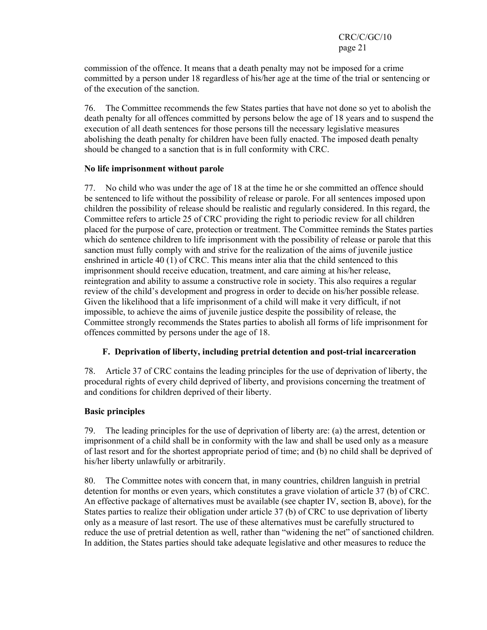commission of the offence. It means that a death penalty may not be imposed for a crime committed by a person under 18 regardless of his/her age at the time of the trial or sentencing or of the execution of the sanction.

76. The Committee recommends the few States parties that have not done so yet to abolish the death penalty for all offences committed by persons below the age of 18 years and to suspend the execution of all death sentences for those persons till the necessary legislative measures abolishing the death penalty for children have been fully enacted. The imposed death penalty should be changed to a sanction that is in full conformity with CRC.

#### **No life imprisonment without parole**

77. No child who was under the age of 18 at the time he or she committed an offence should be sentenced to life without the possibility of release or parole. For all sentences imposed upon children the possibility of release should be realistic and regularly considered. In this regard, the Committee refers to article 25 of CRC providing the right to periodic review for all children placed for the purpose of care, protection or treatment. The Committee reminds the States parties which do sentence children to life imprisonment with the possibility of release or parole that this sanction must fully comply with and strive for the realization of the aims of juvenile justice enshrined in article 40 (1) of CRC. This means inter alia that the child sentenced to this imprisonment should receive education, treatment, and care aiming at his/her release, reintegration and ability to assume a constructive role in society. This also requires a regular review of the child's development and progress in order to decide on his/her possible release. Given the likelihood that a life imprisonment of a child will make it very difficult, if not impossible, to achieve the aims of juvenile justice despite the possibility of release, the Committee strongly recommends the States parties to abolish all forms of life imprisonment for offences committed by persons under the age of 18.

## **F. Deprivation of liberty, including pretrial detention and post-trial incarceration**

78. Article 37 of CRC contains the leading principles for the use of deprivation of liberty, the procedural rights of every child deprived of liberty, and provisions concerning the treatment of and conditions for children deprived of their liberty.

## **Basic principles**

79. The leading principles for the use of deprivation of liberty are: (a) the arrest, detention or imprisonment of a child shall be in conformity with the law and shall be used only as a measure of last resort and for the shortest appropriate period of time; and (b) no child shall be deprived of his/her liberty unlawfully or arbitrarily.

80. The Committee notes with concern that, in many countries, children languish in pretrial detention for months or even years, which constitutes a grave violation of article 37 (b) of CRC. An effective package of alternatives must be available (see chapter IV, section B, above), for the States parties to realize their obligation under article 37 (b) of CRC to use deprivation of liberty only as a measure of last resort. The use of these alternatives must be carefully structured to reduce the use of pretrial detention as well, rather than "widening the net" of sanctioned children. In addition, the States parties should take adequate legislative and other measures to reduce the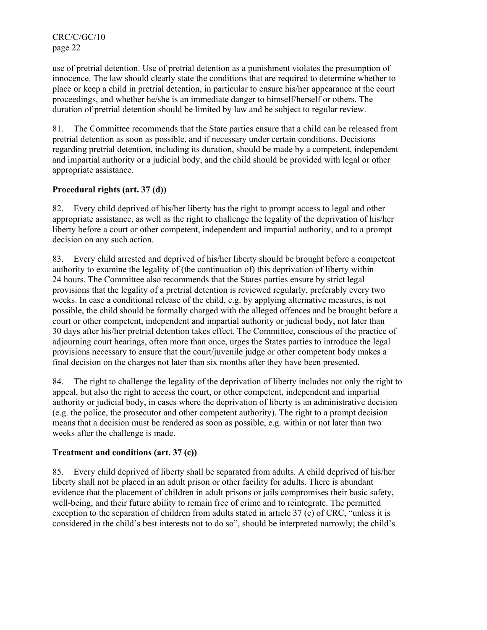use of pretrial detention. Use of pretrial detention as a punishment violates the presumption of innocence. The law should clearly state the conditions that are required to determine whether to place or keep a child in pretrial detention, in particular to ensure his/her appearance at the court proceedings, and whether he/she is an immediate danger to himself/herself or others. The duration of pretrial detention should be limited by law and be subject to regular review.

81. The Committee recommends that the State parties ensure that a child can be released from pretrial detention as soon as possible, and if necessary under certain conditions. Decisions regarding pretrial detention, including its duration, should be made by a competent, independent and impartial authority or a judicial body, and the child should be provided with legal or other appropriate assistance.

## **Procedural rights (art. 37 (d))**

82. Every child deprived of his/her liberty has the right to prompt access to legal and other appropriate assistance, as well as the right to challenge the legality of the deprivation of his/her liberty before a court or other competent, independent and impartial authority, and to a prompt decision on any such action.

83. Every child arrested and deprived of his/her liberty should be brought before a competent authority to examine the legality of (the continuation of) this deprivation of liberty within 24 hours. The Committee also recommends that the States parties ensure by strict legal provisions that the legality of a pretrial detention is reviewed regularly, preferably every two weeks. In case a conditional release of the child, e.g. by applying alternative measures, is not possible, the child should be formally charged with the alleged offences and be brought before a court or other competent, independent and impartial authority or judicial body, not later than 30 days after his/her pretrial detention takes effect. The Committee, conscious of the practice of adjourning court hearings, often more than once, urges the States parties to introduce the legal provisions necessary to ensure that the court/juvenile judge or other competent body makes a final decision on the charges not later than six months after they have been presented.

84. The right to challenge the legality of the deprivation of liberty includes not only the right to appeal, but also the right to access the court, or other competent, independent and impartial authority or judicial body, in cases where the deprivation of liberty is an administrative decision (e.g. the police, the prosecutor and other competent authority). The right to a prompt decision means that a decision must be rendered as soon as possible, e.g. within or not later than two weeks after the challenge is made.

## **Treatment and conditions (art. 37 (c))**

85. Every child deprived of liberty shall be separated from adults. A child deprived of his/her liberty shall not be placed in an adult prison or other facility for adults. There is abundant evidence that the placement of children in adult prisons or jails compromises their basic safety, well-being, and their future ability to remain free of crime and to reintegrate. The permitted exception to the separation of children from adults stated in article 37 (c) of CRC, "unless it is considered in the child's best interests not to do so", should be interpreted narrowly; the child's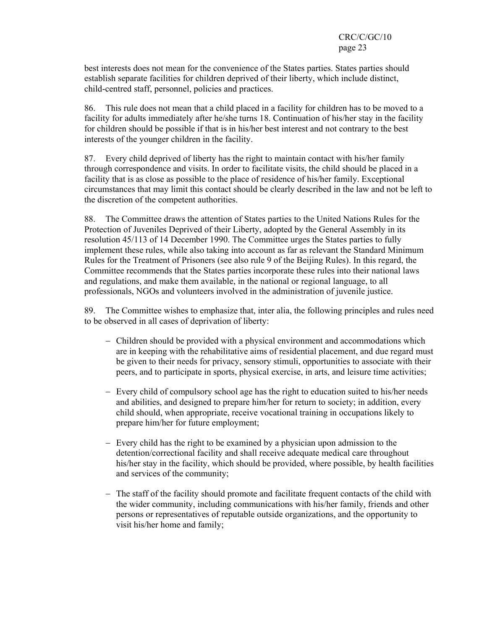best interests does not mean for the convenience of the States parties. States parties should establish separate facilities for children deprived of their liberty, which include distinct, child-centred staff, personnel, policies and practices.

86. This rule does not mean that a child placed in a facility for children has to be moved to a facility for adults immediately after he/she turns 18. Continuation of his/her stay in the facility for children should be possible if that is in his/her best interest and not contrary to the best interests of the younger children in the facility.

87. Every child deprived of liberty has the right to maintain contact with his/her family through correspondence and visits. In order to facilitate visits, the child should be placed in a facility that is as close as possible to the place of residence of his/her family. Exceptional circumstances that may limit this contact should be clearly described in the law and not be left to the discretion of the competent authorities.

88. The Committee draws the attention of States parties to the United Nations Rules for the Protection of Juveniles Deprived of their Liberty, adopted by the General Assembly in its resolution 45/113 of 14 December 1990. The Committee urges the States parties to fully implement these rules, while also taking into account as far as relevant the Standard Minimum Rules for the Treatment of Prisoners (see also rule 9 of the Beijing Rules). In this regard, the Committee recommends that the States parties incorporate these rules into their national laws and regulations, and make them available, in the national or regional language, to all professionals, NGOs and volunteers involved in the administration of juvenile justice.

89. The Committee wishes to emphasize that, inter alia, the following principles and rules need to be observed in all cases of deprivation of liberty:

- − Children should be provided with a physical environment and accommodations which are in keeping with the rehabilitative aims of residential placement, and due regard must be given to their needs for privacy, sensory stimuli, opportunities to associate with their peers, and to participate in sports, physical exercise, in arts, and leisure time activities;
- − Every child of compulsory school age has the right to education suited to his/her needs and abilities, and designed to prepare him/her for return to society; in addition, every child should, when appropriate, receive vocational training in occupations likely to prepare him/her for future employment;
- − Every child has the right to be examined by a physician upon admission to the detention/correctional facility and shall receive adequate medical care throughout his/her stay in the facility, which should be provided, where possible, by health facilities and services of the community;
- − The staff of the facility should promote and facilitate frequent contacts of the child with the wider community, including communications with his/her family, friends and other persons or representatives of reputable outside organizations, and the opportunity to visit his/her home and family;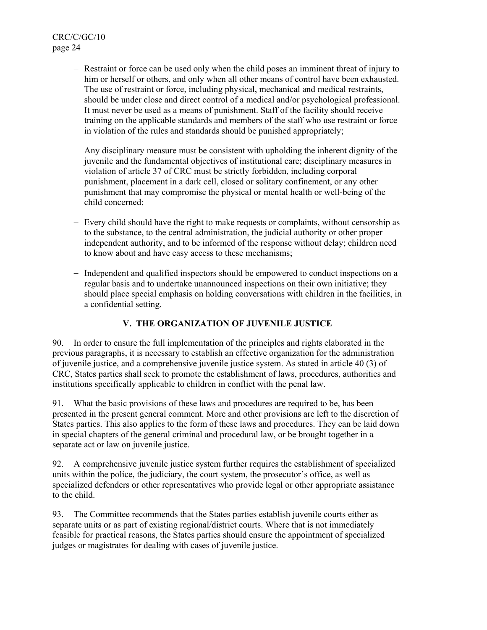- − Restraint or force can be used only when the child poses an imminent threat of injury to him or herself or others, and only when all other means of control have been exhausted. The use of restraint or force, including physical, mechanical and medical restraints, should be under close and direct control of a medical and/or psychological professional. It must never be used as a means of punishment. Staff of the facility should receive training on the applicable standards and members of the staff who use restraint or force in violation of the rules and standards should be punished appropriately;
- − Any disciplinary measure must be consistent with upholding the inherent dignity of the juvenile and the fundamental objectives of institutional care; disciplinary measures in violation of article 37 of CRC must be strictly forbidden, including corporal punishment, placement in a dark cell, closed or solitary confinement, or any other punishment that may compromise the physical or mental health or well-being of the child concerned;
- − Every child should have the right to make requests or complaints, without censorship as to the substance, to the central administration, the judicial authority or other proper independent authority, and to be informed of the response without delay; children need to know about and have easy access to these mechanisms;
- − Independent and qualified inspectors should be empowered to conduct inspections on a regular basis and to undertake unannounced inspections on their own initiative; they should place special emphasis on holding conversations with children in the facilities, in a confidential setting.

# **V. THE ORGANIZATION OF JUVENILE JUSTICE**

90. In order to ensure the full implementation of the principles and rights elaborated in the previous paragraphs, it is necessary to establish an effective organization for the administration of juvenile justice, and a comprehensive juvenile justice system. As stated in article 40 (3) of CRC, States parties shall seek to promote the establishment of laws, procedures, authorities and institutions specifically applicable to children in conflict with the penal law.

91. What the basic provisions of these laws and procedures are required to be, has been presented in the present general comment. More and other provisions are left to the discretion of States parties. This also applies to the form of these laws and procedures. They can be laid down in special chapters of the general criminal and procedural law, or be brought together in a separate act or law on juvenile justice.

92. A comprehensive juvenile justice system further requires the establishment of specialized units within the police, the judiciary, the court system, the prosecutor's office, as well as specialized defenders or other representatives who provide legal or other appropriate assistance to the child.

93. The Committee recommends that the States parties establish juvenile courts either as separate units or as part of existing regional/district courts. Where that is not immediately feasible for practical reasons, the States parties should ensure the appointment of specialized judges or magistrates for dealing with cases of juvenile justice.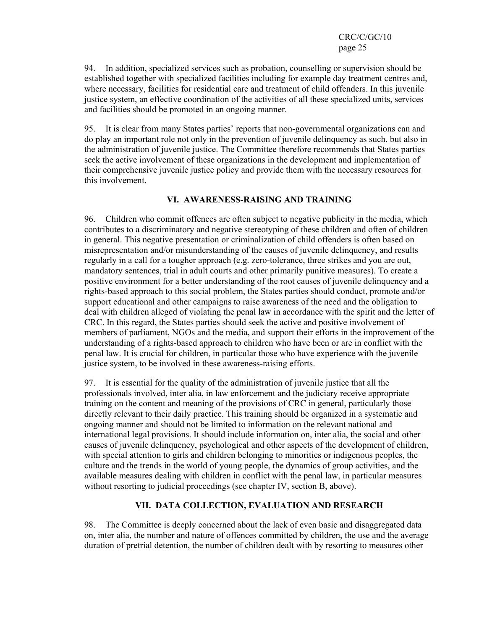94. In addition, specialized services such as probation, counselling or supervision should be established together with specialized facilities including for example day treatment centres and, where necessary, facilities for residential care and treatment of child offenders. In this juvenile justice system, an effective coordination of the activities of all these specialized units, services and facilities should be promoted in an ongoing manner.

95. It is clear from many States parties' reports that non-governmental organizations can and do play an important role not only in the prevention of juvenile delinquency as such, but also in the administration of juvenile justice. The Committee therefore recommends that States parties seek the active involvement of these organizations in the development and implementation of their comprehensive juvenile justice policy and provide them with the necessary resources for this involvement.

## **VI. AWARENESS-RAISING AND TRAINING**

96. Children who commit offences are often subject to negative publicity in the media, which contributes to a discriminatory and negative stereotyping of these children and often of children in general. This negative presentation or criminalization of child offenders is often based on misrepresentation and/or misunderstanding of the causes of juvenile delinquency, and results regularly in a call for a tougher approach (e.g. zero-tolerance, three strikes and you are out, mandatory sentences, trial in adult courts and other primarily punitive measures). To create a positive environment for a better understanding of the root causes of juvenile delinquency and a rights-based approach to this social problem, the States parties should conduct, promote and/or support educational and other campaigns to raise awareness of the need and the obligation to deal with children alleged of violating the penal law in accordance with the spirit and the letter of CRC. In this regard, the States parties should seek the active and positive involvement of members of parliament, NGOs and the media, and support their efforts in the improvement of the understanding of a rights-based approach to children who have been or are in conflict with the penal law. It is crucial for children, in particular those who have experience with the juvenile justice system, to be involved in these awareness-raising efforts.

97. It is essential for the quality of the administration of juvenile justice that all the professionals involved, inter alia, in law enforcement and the judiciary receive appropriate training on the content and meaning of the provisions of CRC in general, particularly those directly relevant to their daily practice. This training should be organized in a systematic and ongoing manner and should not be limited to information on the relevant national and international legal provisions. It should include information on, inter alia, the social and other causes of juvenile delinquency, psychological and other aspects of the development of children, with special attention to girls and children belonging to minorities or indigenous peoples, the culture and the trends in the world of young people, the dynamics of group activities, and the available measures dealing with children in conflict with the penal law, in particular measures without resorting to judicial proceedings (see chapter IV, section B, above).

## **VII. DATA COLLECTION, EVALUATION AND RESEARCH**

98. The Committee is deeply concerned about the lack of even basic and disaggregated data on, inter alia, the number and nature of offences committed by children, the use and the average duration of pretrial detention, the number of children dealt with by resorting to measures other